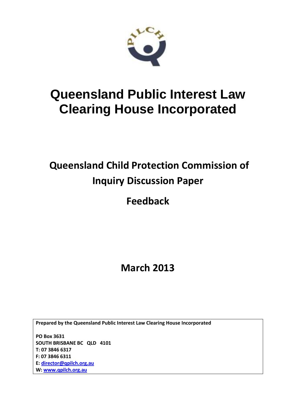

## **Queensland Public Interest Law Clearing House Incorporated**

## **Queensland Child Protection Commission of Inquiry Discussion Paper**

**Feedback** 

**March 2013**

**Prepared by the Queensland Public Interest Law Clearing House Incorporated**

**PO Box 3631 SOUTH BRISBANE BC QLD 4101 T: 07 3846 6317 F: 07 3846 6311 E: [director@qpilch.org.au](mailto:director@qpilch.org.au) W[: www.qpilch.org.au](http://www.qpilch.org.au/)**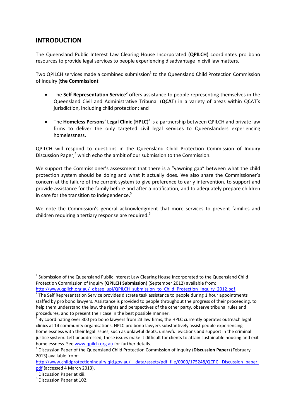## **INTRODUCTION**

The Queensland Public Interest Law Clearing House Incorporated (**QPILCH**) coordinates pro bono resources to provide legal services to people experiencing disadvantage in civil law matters.

Two QPILCH services made a combined submission $^1$  to the Queensland Child Protection Commission of Inquiry (**the Commission**):

- The **Self Representation Service**<sup>2</sup> offers assistance to people representing themselves in the Queensland Civil and Administrative Tribunal (**QCAT**) in a variety of areas within QCAT's jurisdiction, including child protection; and
- The **Homeless Persons' Legal Clinic** (**HPLC**) 3 is a partnership between QPILCH and private law firms to deliver the only targeted civil legal services to Queenslanders experiencing homelessness.

QPILCH will respond to questions in the Queensland Child Protection Commission of Inquiry Discussion Paper, <sup>4</sup> which echo the ambit of our submission to the Commission.

We support the Commissioner's assessment that there is a "yawning gap" between what the child protection system should be doing and what it actually does. We also share the Commissioner's concern at the failure of the current system to give preference to early intervention, to support and provide assistance for the family before and after a notification, and to adequately prepare children in care for the transition to independence.<sup>5</sup>

We note the Commission's general acknowledgment that more services to prevent families and children requiring a tertiary response are required.<sup>6</sup>

1

 $1$  Submission of the Queensland Public Interest Law Clearing House Incorporated to the Queensland Child Protection Commission of Inquiry (**QPILCH Submission**) (September 2012) available from: [http://www.qpilch.org.au/\\_dbase\\_upl/QPILCH\\_submission\\_to\\_Child\\_Protection\\_Inquiry\\_2012.pdf.](http://www.qpilch.org.au/_dbase_upl/QPILCH_submission_to_Child_Protection_Inquiry_2012.pdf)

 $2$  The Self Representation Service provides discrete task assistance to people during 1 hour appointments staffed by pro bono lawyers. Assistance is provided to people throughout the progress of their proceeding, to help them understand the law, the rights and perspectives of the other party, observe tribunal rules and procedures, and to present their case in the best possible manner.

 $3$  By coordinating over 300 pro bono lawyers from 23 law firms, the HPLC currently operates outreach legal clinics at 14 community organisations. HPLC pro bono lawyers substantively assist people experiencing homelessness with their legal issues, such as unlawful debts, unlawful evictions and support in the criminal justice system. Left unaddressed, these issues make it difficult for clients to attain sustainable housing and exit homelessness. See [www.qpilch.org.au](http://www.qpilch.org.au/) for further details.

<sup>4</sup> Discussion Paper of the Queensland Child Protection Commission of Inquiry (**Discussion Paper**) (February 2013) available from:

http://www.childprotectioninquiry.qld.gov.au/ data/assets/pdf file/0009/175248/QCPCI Discussion paper. [pdf](http://www.childprotectioninquiry.qld.gov.au/__data/assets/pdf_file/0009/175248/QCPCI_Discussion_paper.pdf) (accessed 4 March 2013).

<sup>&</sup>lt;sup>5</sup> Discussion Paper at xiii.

<sup>&</sup>lt;sup>6</sup> Discussion Paper at 102.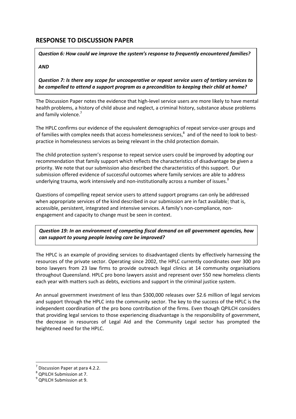## **RESPONSE TO DISCUSSION PAPER**

*Question 6: How could we improve the system's response to frequently encountered families?*

*AND*

*Question 7: Is there any scope for uncooperative or repeat service users of tertiary services to be compelled to attend a support program as a precondition to keeping their child at home?*

The Discussion Paper notes the evidence that high-level service users are more likely to have mental health problems, a history of child abuse and neglect, a criminal history, substance abuse problems and family violence.<sup>7</sup>

The HPLC confirms our evidence of the equivalent demographics of repeat service-user groups and of families with complex needs that access homelessness services,<sup>8</sup> and of the need to look to bestpractice in homelessness services as being relevant in the child protection domain.

The child protection system's response to repeat service users could be improved by adopting our recommendation that family support which reflects the characteristics of disadvantage be given a priority. We note that our submission also described the characteristics of this support. Our submission offered evidence of successful outcomes where family services are able to address underlying trauma, work intensively and non-institutionally across a number of issues.<sup>9</sup>

Questions of compelling repeat service users to attend support programs can only be addressed when appropriate services of the kind described in our submission are in fact available; that is, accessible, persistent, integrated and intensive services. A family's non-compliance, nonengagement and capacity to change must be seen in context.

*Question 19: In an environment of competing fiscal demand on all government agencies, how can support to young people leaving care be improved?*

The HPLC is an example of providing services to disadvantaged clients by effectively harnessing the resources of the private sector. Operating since 2002, the HPLC currently coordinates over 300 pro bono lawyers from 23 law firms to provide outreach legal clinics at 14 community organisations throughout Queensland. HPLC pro bono lawyers assist and represent over 550 new homeless clients each year with matters such as debts, evictions and support in the criminal justice system.

An annual government investment of less than \$300,000 releases over \$2.6 million of legal services and support through the HPLC into the community sector. The key to the success of the HPLC is the independent coordination of the pro bono contribution of the firms. Even though QPILCH considers that providing legal services to those experiencing disadvantage is the responsibility of government, the decrease in resources of Legal Aid and the Community Legal sector has prompted the heightened need for the HPLC.

**.** 

<sup>7</sup> Discussion Paper at para 4.2.2.

<sup>&</sup>lt;sup>8</sup> QPILCH Submission at 7.

<sup>&</sup>lt;sup>9</sup> QPILCH Submission at 9.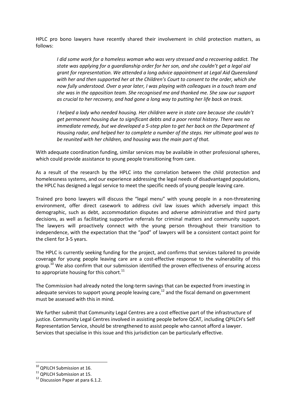HPLC pro bono lawyers have recently shared their involvement in child protection matters, as follows:

*I did some work for a homeless woman who was very stressed and a recovering addict. The state was applying for a guardianship order for her son, and she couldn't get a legal aid grant for representation. We attended a long advice appointment at Legal Aid Queensland with her and then supported her at the Children's Court to consent to the order, which she now fully understood. Over a year later, I was playing with colleagues in a touch team and she was in the opposition team. She recognised me and thanked me. She saw our support as crucial to her recovery, and had gone a long way to putting her life back on track.*

*I helped a lady who needed housing. Her children were in state care because she couldn't get permanent housing due to significant debts and a poor rental history. There was no immediate remedy, but we developed a 5-step plan to get her back on the Department of Housing radar, and helped her to complete a number of the steps. Her ultimate goal was to be reunited with her children, and housing was the main part of that.*

With adequate coordination funding, similar services may be available in other professional spheres, which could provide assistance to young people transitioning from care.

As a result of the research by the HPLC into the correlation between the child protection and homelessness systems, and our experience addressing the legal needs of disadvantaged populations, the HPLC has designed a legal service to meet the specific needs of young people leaving care.

Trained pro bono lawyers will discuss the "legal menu" with young people in a non-threatening environment, offer direct casework to address civil law issues which adversely impact this demographic, such as debt, accommodation disputes and adverse administrative and third party decisions, as well as facilitating supportive referrals for criminal matters and community support. The lawyers will proactively connect with the young person throughout their transition to independence, with the expectation that the "pod" of lawyers will be a consistent contact point for the client for 3-5 years.

The HPLC is currently seeking funding for the project, and confirms that services tailored to provide coverage for young people leaving care are a cost-effective response to the vulnerability of this group.<sup>10</sup> We also confirm that our submission identified the proven effectiveness of ensuring access to appropriate housing for this cohort.<sup>11</sup>

The Commission had already noted the long-term savings that can be expected from investing in adequate services to support young people leaving care, $12$  and the fiscal demand on government must be assessed with this in mind.

We further submit that Community Legal Centres are a cost effective part of the infrastructure of justice. Community Legal Centres involved in assisting people before QCAT, including QPILCH's Self Representation Service, should be strengthened to assist people who cannot afford a lawyer. Services that specialise in this issue and this jurisdiction can be particularly effective.

**.** 

<sup>&</sup>lt;sup>10</sup> QPILCH Submission at 16.

<sup>&</sup>lt;sup>11</sup> QPILCH Submission at 15.

<sup>&</sup>lt;sup>12</sup> Discussion Paper at para 6.1.2.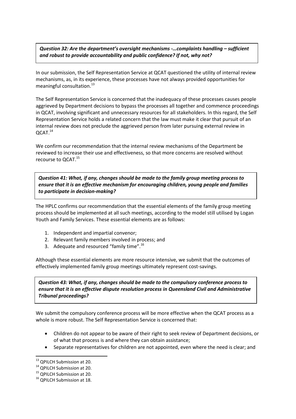*Question 32: Are the department's oversight mechanisms -…complaints handling – sufficient and robust to provide accountability and public confidence? If not, why not?*

In our submission, the Self Representation Service at QCAT questioned the utility of internal review mechanisms, as, in its experience, these processes have not always provided opportunities for meaningful consultation. 13

The Self Representation Service is concerned that the inadequacy of these processes causes people aggrieved by Department decisions to bypass the processes all together and commence proceedings in QCAT, involving significant and unnecessary resources for all stakeholders. In this regard, the Self Representation Service holds a related concern that the law must make it clear that pursuit of an internal review does not preclude the aggrieved person from later pursuing external review in QCAT.<sup>14</sup>

We confirm our recommendation that the internal review mechanisms of the Department be reviewed to increase their use and effectiveness, so that more concerns are resolved without recourse to OCAT.<sup>15</sup>

*Question 41: What, if any, changes should be made to the family group meeting process to ensure that it is an effective mechanism for encouraging children, young people and families to participate in decision-making?*

The HPLC confirms our recommendation that the essential elements of the family group meeting process should be implemented at all such meetings, according to the model still utilised by Logan Youth and Family Services. These essential elements are as follows:

- 1. Independent and impartial convenor;
- 2. Relevant family members involved in process; and
- 3. Adequate and resourced "family time".<sup>16</sup>

Although these essential elements are more resource intensive, we submit that the outcomes of effectively implemented family group meetings ultimately represent cost-savings.

*Question 43: What, if any, changes should be made to the compulsory conference process to ensure that it is an effective dispute resolution process in Queensland Civil and Administrative Tribunal proceedings?*

We submit the compulsory conference process will be more effective when the QCAT process as a whole is more robust. The Self Representation Service is concerned that:

- Children do not appear to be aware of their right to seek review of Department decisions, or of what that process is and where they can obtain assistance;
- Separate representatives for children are not appointed, even where the need is clear; and

**.** 

<sup>&</sup>lt;sup>13</sup> QPILCH Submission at 20.

<sup>&</sup>lt;sup>14</sup> QPILCH Submission at 20.

<sup>&</sup>lt;sup>15</sup> QPILCH Submission at 20.

<sup>&</sup>lt;sup>16</sup> OPILCH Submission at 18.